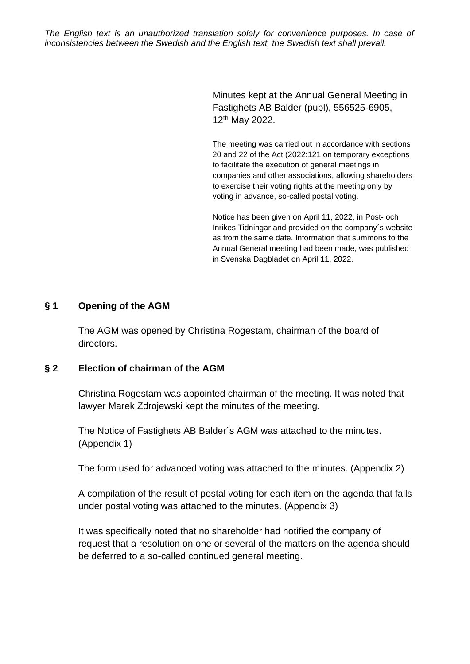*The English text is an unauthorized translation solely for convenience purposes. In case of inconsistencies between the Swedish and the English text, the Swedish text shall prevail.*

> Minutes kept at the Annual General Meeting in Fastighets AB Balder (publ), 556525-6905, 12th May 2022.

The meeting was carried out in accordance with sections 20 and 22 of the Act (2022:121 on temporary exceptions to facilitate the execution of general meetings in companies and other associations, allowing shareholders to exercise their voting rights at the meeting only by voting in advance, so-called postal voting.

Notice has been given on April 11, 2022, in Post- och Inrikes Tidningar and provided on the company´s website as from the same date. Information that summons to the Annual General meeting had been made, was published in Svenska Dagbladet on April 11, 2022.

#### **§ 1 Opening of the AGM**

The AGM was opened by Christina Rogestam, chairman of the board of directors.

#### **§ 2 Election of chairman of the AGM**

Christina Rogestam was appointed chairman of the meeting. It was noted that lawyer Marek Zdrojewski kept the minutes of the meeting.

The Notice of Fastighets AB Balder´s AGM was attached to the minutes. (Appendix 1)

The form used for advanced voting was attached to the minutes. (Appendix 2)

A compilation of the result of postal voting for each item on the agenda that falls under postal voting was attached to the minutes. (Appendix 3)

It was specifically noted that no shareholder had notified the company of request that a resolution on one or several of the matters on the agenda should be deferred to a so-called continued general meeting.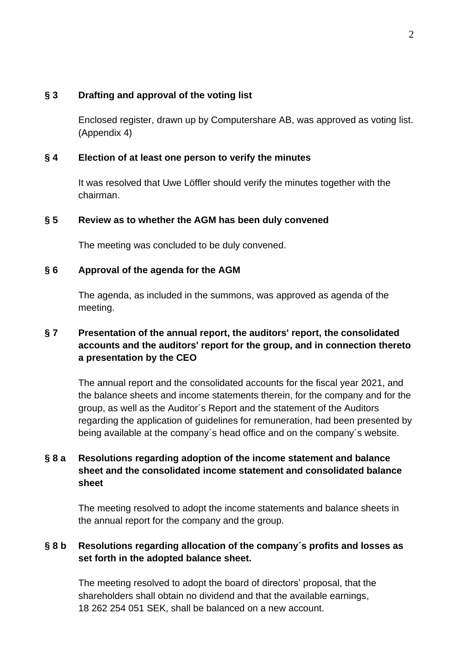#### **§ 3 Drafting and approval of the voting list**

Enclosed register, drawn up by Computershare AB, was approved as voting list. (Appendix 4)

#### **§ 4 Election of at least one person to verify the minutes**

It was resolved that Uwe Löffler should verify the minutes together with the chairman.

#### **§ 5 Review as to whether the AGM has been duly convened**

The meeting was concluded to be duly convened.

#### **§ 6 Approval of the agenda for the AGM**

The agenda, as included in the summons, was approved as agenda of the meeting.

# **§ 7 Presentation of the annual report, the auditors' report, the consolidated accounts and the auditors' report for the group, and in connection thereto a presentation by the CEO**

The annual report and the consolidated accounts for the fiscal year 2021, and the balance sheets and income statements therein, for the company and for the group, as well as the Auditor´s Report and the statement of the Auditors regarding the application of guidelines for remuneration, had been presented by being available at the company´s head office and on the company´s website.

# **§ 8 a Resolutions regarding adoption of the income statement and balance sheet and the consolidated income statement and consolidated balance sheet**

The meeting resolved to adopt the income statements and balance sheets in the annual report for the company and the group.

# **§ 8 b Resolutions regarding allocation of the company´s profits and losses as set forth in the adopted balance sheet.**

The meeting resolved to adopt the board of directors' proposal, that the shareholders shall obtain no dividend and that the available earnings, 18 262 254 051 SEK, shall be balanced on a new account.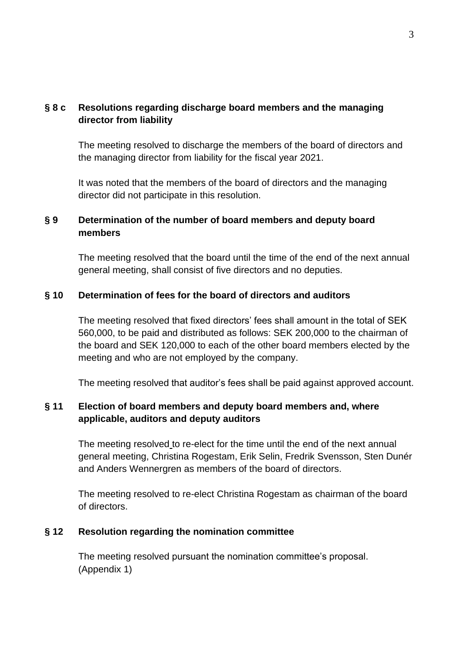# **§ 8 c Resolutions regarding discharge board members and the managing director from liability**

The meeting resolved to discharge the members of the board of directors and the managing director from liability for the fiscal year 2021.

It was noted that the members of the board of directors and the managing director did not participate in this resolution.

### **§ 9 Determination of the number of board members and deputy board members**

The meeting resolved that the board until the time of the end of the next annual general meeting, shall consist of five directors and no deputies.

#### **§ 10 Determination of fees for the board of directors and auditors**

The meeting resolved that fixed directors' fees shall amount in the total of SEK 560,000, to be paid and distributed as follows: SEK 200,000 to the chairman of the board and SEK 120,000 to each of the other board members elected by the meeting and who are not employed by the company.

The meeting resolved that auditor's fees shall be paid against approved account.

### **§ 11 Election of board members and deputy board members and, where applicable, auditors and deputy auditors**

The meeting resolved to re-elect for the time until the end of the next annual general meeting, Christina Rogestam, Erik Selin, Fredrik Svensson, Sten Dunér and Anders Wennergren as members of the board of directors.

The meeting resolved to re-elect Christina Rogestam as chairman of the board of directors.

#### **§ 12 Resolution regarding the nomination committee**

The meeting resolved pursuant the nomination committee's proposal. (Appendix 1)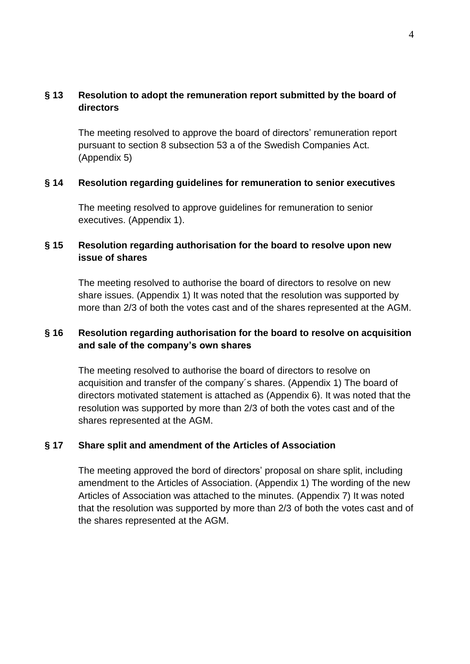### **§ 13 Resolution to adopt the remuneration report submitted by the board of directors**

The meeting resolved to approve the board of directors' remuneration report pursuant to section 8 subsection 53 a of the Swedish Companies Act. (Appendix 5)

#### **§ 14 Resolution regarding guidelines for remuneration to senior executives**

The meeting resolved to approve guidelines for remuneration to senior executives. (Appendix 1).

# **§ 15 Resolution regarding authorisation for the board to resolve upon new issue of shares**

The meeting resolved to authorise the board of directors to resolve on new share issues. (Appendix 1) It was noted that the resolution was supported by more than 2/3 of both the votes cast and of the shares represented at the AGM.

# **§ 16 Resolution regarding authorisation for the board to resolve on acquisition and sale of the company's own shares**

The meeting resolved to authorise the board of directors to resolve on acquisition and transfer of the company´s shares. (Appendix 1) The board of directors motivated statement is attached as (Appendix 6). It was noted that the resolution was supported by more than 2/3 of both the votes cast and of the shares represented at the AGM.

### **§ 17 Share split and amendment of the Articles of Association**

The meeting approved the bord of directors' proposal on share split, including amendment to the Articles of Association. (Appendix 1) The wording of the new Articles of Association was attached to the minutes. (Appendix 7) It was noted that the resolution was supported by more than 2/3 of both the votes cast and of the shares represented at the AGM.